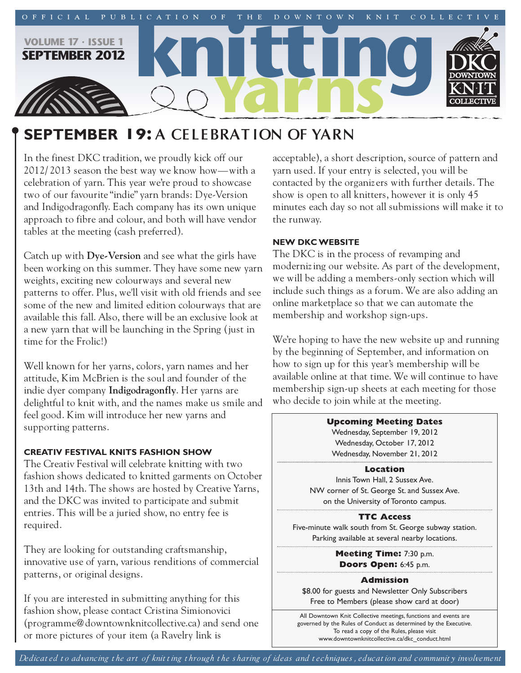

# **september 19: A CELEBRAT ION OF YARN**

In the finest DKC tradition, we proudly kick off our 2012/ 2013 season the best way we know how—with a celebration of yarn. This year we're proud to showcase two of our favourite "indie" yarn brands: Dye-Version and Indigodragonfly. Each company has its own unique approach to fibre and colour, and both will have vendor tables at the meeting (cash preferred).

Catch up with **Dye-Version** and see what the girls have been working on this summer. They have some new yarn weights, exciting new colourways and several new patterns to offer. Plus, we'll visit with old friends and see some of the new and limited edition colourways that are available this fall. Also, there will be an exclusive look at a new yarn that will be launching in the Spring (just in time for the Frolic!)

Well known for her yarns, colors, yarn names and her attitude, Kim McBrien is the soul and founder of the indie dyer company **Indigodragonfly**. Her yarns are delightful to knit with, and the names make us smile and feel good. Kim will introduce her new yarns and supporting patterns.

## **Creativ Festival Knits Fashion show**

The Creativ Festival will celebrate knitting with two fashion shows dedicated to knitted garments on October 13th and 14th. The shows are hosted by Creative Yarns, and the DKC was invited to participate and submit entries. This will be a juried show, no entry fee is required.

They are looking for outstanding craftsmanship, innovative use of yarn, various renditions of commercial patterns, or original designs.

If you are interested in submitting anything for this fashion show, please contact Cristina Simionovici (programme@downtownknitcollective.ca) and send one or more pictures of your item (a Ravelry link is

acceptable), a short description, source of pattern and yarn used. If your entry is selected, you will be contacted by the organiz ers with further details. The show is open to all knitters, however it is only 45 minutes each day so not all submissions will make it to the runway.

## **new DKCwebsite**

The DKC is in the process of revamping and modernizing our website. As part of the development, we will be adding a members-only section which will include such things as a forum. We are also adding an online marketplace so that we can automate the membership and workshop sign-ups.

We're hoping to have the new website up and running by the beginning of September, and information on how to sign up for this year's membership will be available online at that time. We will continue to have membership sign-up sheets at each meeting for those who decide to join while at the meeting.

#### **Upcoming Meeting Dates**

Wednesday, September 19, 2012 Wednesday, October 17, 2012 Wednesday, November 21, 2012

#### **Location**

Innis Town Hall, 2 Sussex Ave. NW corner of St. George St. and Sussex Ave. on the University of Toronto campus.

#### **TTC Access**

Five-minute walk south from St. George subway station. Parking available at several nearby locations.

> **Meeting Time:** 7:30 p.m. **Doors Open:** 6:45 p.m.

#### **Admission**

\$8.00 for guests and Newsletter Only Subscribers Free to Members (please show card at door)

All Downtown Knit Collective meetings, functions and events are governed by the Rules of Conduct as determined by the Executive. To read a copy of the Rules, please visit www.downtownknitcollective.ca/dkc\_conduct.html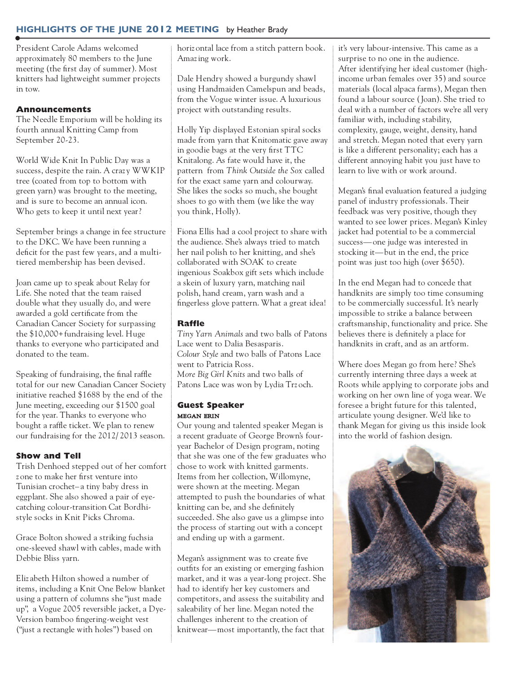## **highlights oF the june 2012 meeting** by Heather Brady

President Carole Adams welcomed approximately 80 members to the June meeting (the first day of summer). Most knitters had lightweight summer projects in tow.

#### **Announcements**

The Needle Emporium will be holding its fourth annual Knitting Camp from September 20-23.

World Wide Knit In Public Day was a success, despite the rain. A craz y WWKIP tree (coated from top to bottom with green yarn) was brought to the meeting, and is sure to become an annual icon. Who gets to keep it until next year?

September brings a change in fee structure to the DKC. We have been running a deficit for the past few years, and a multitiered membership has been devised.

Joan came up to speak about Relay for Life. She noted that the team raised double what they usually do, and were awarded a gold certificate from the Canadian Cancer Society for surpassing the \$10,000+fundraising level. Huge thanks to everyone who participated and donated to the team.

Speaking of fundraising, the final raffle total for our new Canadian Cancer Society initiative reached \$1688 by the end of the June meeting, exceeding our \$1500 goal for the year. Thanks to everyone who bought a raffle ticket. We plan to renew our fundraising for the 2012/ 2013 season.

#### **Show and Tell**

Trish Denhoed stepped out of her comfort z one to make her first venture into Tunisian crochet– a tiny baby dress in eggplant. She also showed a pair of eyecatching colour-transition Cat Bordhistyle socks in Knit Picks Chroma.

Grace Bolton showed a striking fuchsia one-sleeved shawl with cables, made with Debbie Bliss yarn.

Eliz abeth Hilton showed a number of items, including a Knit One Below blanket using a pattern of columns she "just made up", a Vogue 2005 reversible jacket, a Dye-Version bamboo fingering-weight vest ("just a rectangle with holes") based on

horiz ontal lace from a stitch pattern book. Amazing work.

Dale Hendry showed a burgundy shawl using Handmaiden Camelspun and beads, from the Vogue winter issue. A luxurious project with outstanding results.

Holly Yip displayed Estonian spiral socks made from yarn that Knitomatic gave away in goodie bags at the very first TTC Knitalong. As fate would have it, the pattern from *Think Outside the Sox* called for the exact same yarn and colourway. She likes the socks so much, she bought shoes to go with them (we like the way you think, Holly).

Fiona Ellis had a cool project to share with the audience. She's always tried to match her nail polish to her knitting, and she's collaborated with SOAK to create ingenious Soakbox gift sets which include a skein of luxury yarn, matching nail polish, hand cream, yarn wash and a fingerless glove pattern. What a great idea!

#### **Raffle**

*Tiny Yarn Animals* and two balls of Patons Lace went to Dalia Besasparis. *Colour Style* and two balls of Patons Lace went to Patricia Ross. *More Big Girl Knits* and two balls of Patons Lace was won by Lydia Trz och.

#### **Guest Speaker** megan erin

Our young and talented speaker Megan is a recent graduate of George Brown's fouryear Bachelor of Design program, noting that she was one of the few graduates who chose to work with knitted garments. Items from her collection, Willomyne, were shown at the meeting. Megan attempted to push the boundaries of what knitting can be, and she definitely succeeded. She also gave us a glimpse into the process of starting out with a concept and ending up with a garment.

Megan's assignment was to create five outfits for an existing or emerging fashion market, and it was a year-long project. She had to identify her key customers and competitors, and assess the suitability and saleability of her line. Megan noted the challenges inherent to the creation of knitwear—most importantly, the fact that it's very labour-intensive. This came as a surprise to no one in the audience. After identifying her ideal customer (highincome urban females over 35) and source materials (local alpaca farms), Megan then found a labour source (Joan). She tried to deal with a number of factors we're all very familiar with, including stability, complexity, gauge, weight, density, hand and stretch. Megan noted that every yarn is like a different personality; each has a different annoying habit you just have to learn to live with or work around.

Megan's final evaluation featured a judging panel of industry professionals. Their feedback was very positive, though they wanted to see lower prices. Megan's Kinley jacket had potential to be a commercial success—one judge was interested in stocking it—but in the end, the price point was just too high (over \$650).

In the end Megan had to concede that handknits are simply too time consuming to be commercially successful. It's nearly impossible to strike a balance between craftsmanship, functionality and price. She believes there is definitely a place for handknits in craft, and as an artform.

Where does Megan go from here? She's currently interning three days a week at Roots while applying to corporate jobs and working on her own line of yoga wear. We foresee a bright future for this talented, articulate young designer. We'd like to thank Megan for giving us this inside look into the world of fashion design.

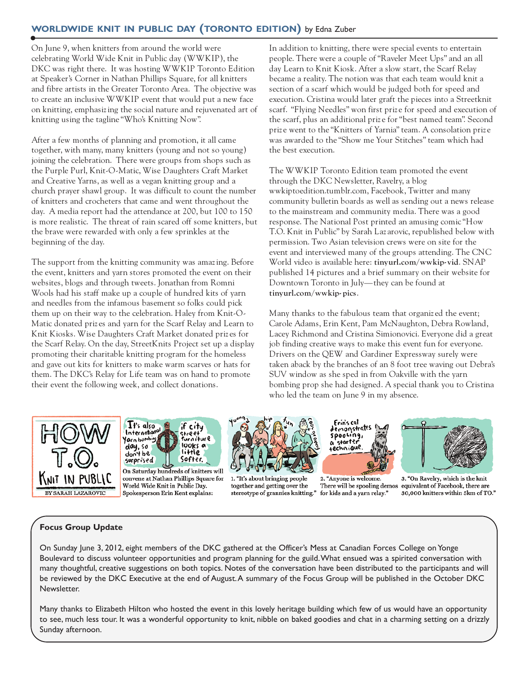# **worlDwiDe Knit in publiC Day (toronto eDition)** by Edna Zuber

On June 9, when knitters from around the world were celebrating World Wide Knit in Public day (WWKIP), the DKC was right there. It was hosting WWKIP Toronto Edition at Speaker's Corner in Nathan Phillips Square, for all knitters and fibre artists in the Greater Toronto Area. The objective was to create an inclusive WWKIP event that would put a new face on knitting, emphasizing the social nature and rejuvenated art of knitting using the tagline "Who's Knitting Now".

After a few months of planning and promotion, it all came together, with many, many knitters (young and not so young) joining the celebration. There were groups from shops such as the Purple Purl, Knit-O-Matic, Wise Daughters Craft Market and Creative Yarns, as well as a vegan knitting group and a church prayer shawl group. It was difficult to count the number of knitters and crocheters that came and went throughout the day. A media report had the attendance at 200, but 100 to 150 is more realistic. The threat of rain scared off some knitters, but the brave were rewarded with only a few sprinkles at the beginning of the day.

The support from the knitting community was amazing. Before the event, knitters and yarn stores promoted the event on their websites, blogs and through tweets. Jonathan from Romni Wools had his staff make up a couple of hundred kits of yarn and needles from the infamous basement so folks could pick them up on their way to the celebration. Haley from Knit-O-Matic donated priz es and yarn for the Scarf Relay and Learn to Knit Kiosks. Wise Daughters Craft Market donated priz es for the Scarf Relay. On the day, StreetKnits Project set up a display promoting their charitable knitting program for the homeless and gave out kits for knitters to make warm scarves or hats for them. The DKC's Relay for Life team was on hand to promote their event the following week, and collect donations.

In addition to knitting, there were special events to entertain people. There were a couple of "Raveler Meet Ups" and an all day Learn to Knit Kiosk. After a slow start, the Scarf Relay became a reality. The notion was that each team would knit a section of a scarf which would be judged both for speed and execution. Cristina would later graft the pieces into a Streetknit scarf. "Flying Needles" won first priz e for speed and execution of the scarf, plus an additional priz e for "best named team". Second priz e went to the "Knitters of Yarnia" team. A consolation priz e was awarded to the "Show me Your Stitches" team which had the best execution.

The WWKIP Toronto Edition team promoted the event through the DKC Newsletter, Ravelry, a blog wwkiptoedition.tumblr.com, Facebook, Twitter and many community bulletin boards as well as sending out a news release to the mainstream and community media. There was a good response. The National Post printed an amusing comic "How T.O. Knit in Public" by Sarah Laz arovic, republished below with permission. Two Asian television crews were on site for the event and interviewed many of the groups attending. The CNC World video is available here: **tinyurl.com/wwkip- vid**. SNAP published 14 pictures and a brief summary on their website for Downtown Toronto in July—they can be found at **tinyurl.com/wwkip- pics**.

Many thanks to the fabulous team that organiz ed the event; Carole Adams, Erin Kent, Pam McNaughton, Debra Rowland, Lacey Richmond and Cristina Simionovici. Everyone did a great job finding creative ways to make this event fun for everyone. Drivers on the QEW and Gardiner Expressway surely were taken aback by the branches of an 8 foot tree waving out Debra's SUV window as she sped in from Oakville with the yarn bombing prop she had designed. A special thank you to Cristina who led the team on June 9 in my absence.





convene at Nathan Phillips Square for World Wide Knit in Public Day. Spokesperson Erin Kent explains:



1. "It's about bringing people together and getting over the stereotype of grannies knitting."



2. "Anyone is welcome. There will be spooling demos for kids and a yarn relay."



3. "On Ravelry, which is the knit equivalent of Facebook, there are 30,000 knitters within 5km of TO."

#### **Focus group update**

On Sunday June 3, 2012, eight members of the DKC gathered at the Officer's Mess at Canadian Forces College on Yonge Boulevard to discuss volunteer opportunities and program planning for the guild.What ensued was a spirited conversation with many thoughtful, creative suggestions on both topics. Notes of the conversation have been distributed to the participants and will be reviewed by the DKC Executive at the end of August.A summary of the Focus Group will be published in the October DKC Newsletter.

Many thanks to Elizabeth Hilton who hosted the event in this lovely heritage building which few of us would have an opportunity to see, much less tour. It was a wonderful opportunity to knit, nibble on baked goodies and chat in a charming setting on a drizzly Sunday afternoon.